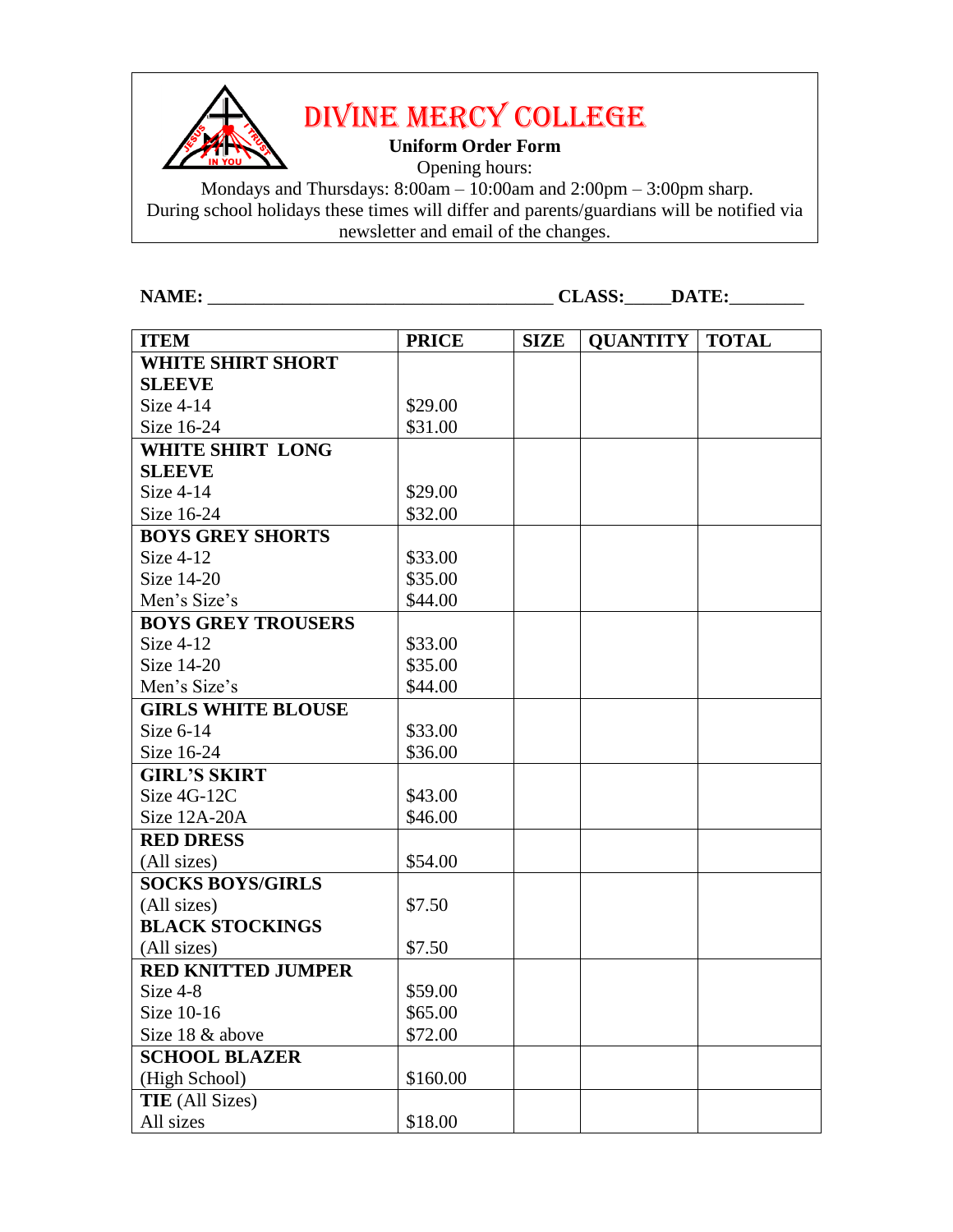

DIVINE MERCY COLLEGE

**Uniform Order Form**

Opening hours:

Mondays and Thursdays: 8:00am – 10:00am and 2:00pm – 3:00pm sharp. During school holidays these times will differ and parents/guardians will be notified via newsletter and email of the changes.

**NAME:** \_\_\_\_\_\_\_\_\_\_\_\_\_\_\_\_\_\_\_\_\_\_\_\_\_\_\_\_\_\_\_\_\_\_\_\_\_ **CLASS:**\_\_\_\_\_**DATE:**\_\_\_\_\_\_\_\_

| <b>ITEM</b>               | <b>PRICE</b> | <b>SIZE</b> | <b>QUANTITY</b> | <b>TOTAL</b> |
|---------------------------|--------------|-------------|-----------------|--------------|
| <b>WHITE SHIRT SHORT</b>  |              |             |                 |              |
| <b>SLEEVE</b>             |              |             |                 |              |
| Size 4-14                 | \$29.00      |             |                 |              |
| Size 16-24                | \$31.00      |             |                 |              |
| <b>WHITE SHIRT LONG</b>   |              |             |                 |              |
| <b>SLEEVE</b>             |              |             |                 |              |
| Size $4-14$               | \$29.00      |             |                 |              |
| Size 16-24                | \$32.00      |             |                 |              |
| <b>BOYS GREY SHORTS</b>   |              |             |                 |              |
| Size $4-12$               | \$33.00      |             |                 |              |
| Size 14-20                | \$35.00      |             |                 |              |
| Men's Size's              | \$44.00      |             |                 |              |
| <b>BOYS GREY TROUSERS</b> |              |             |                 |              |
| Size $4-12$               | \$33.00      |             |                 |              |
| Size 14-20                | \$35.00      |             |                 |              |
| Men's Size's              | \$44.00      |             |                 |              |
| <b>GIRLS WHITE BLOUSE</b> |              |             |                 |              |
| Size $6-14$               | \$33.00      |             |                 |              |
| Size 16-24                | \$36.00      |             |                 |              |
| <b>GIRL'S SKIRT</b>       |              |             |                 |              |
| Size 4G-12C               | \$43.00      |             |                 |              |
| Size 12A-20A              | \$46.00      |             |                 |              |
| <b>RED DRESS</b>          |              |             |                 |              |
| (All sizes)               | \$54.00      |             |                 |              |
| <b>SOCKS BOYS/GIRLS</b>   |              |             |                 |              |
| (All sizes)               | \$7.50       |             |                 |              |
| <b>BLACK STOCKINGS</b>    |              |             |                 |              |
| (All sizes)               | \$7.50       |             |                 |              |
| <b>RED KNITTED JUMPER</b> |              |             |                 |              |
| Size 4-8                  | \$59.00      |             |                 |              |
| Size 10-16                | \$65.00      |             |                 |              |
| Size 18 & above           | \$72.00      |             |                 |              |
| <b>SCHOOL BLAZER</b>      |              |             |                 |              |
| (High School)             | \$160.00     |             |                 |              |
| <b>TIE</b> (All Sizes)    |              |             |                 |              |
| All sizes                 | \$18.00      |             |                 |              |